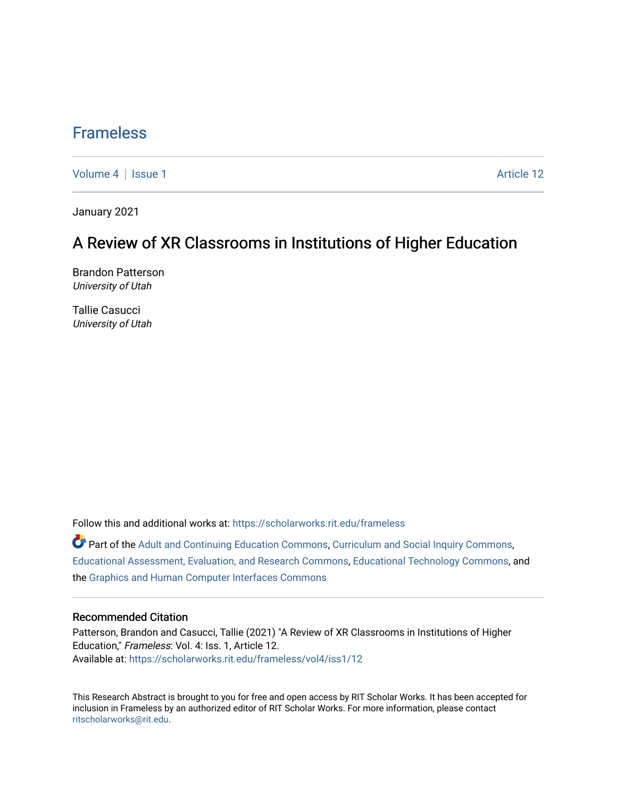## [Frameless](https://scholarworks.rit.edu/frameless)

[Volume 4](https://scholarworks.rit.edu/frameless/vol4) | [Issue 1](https://scholarworks.rit.edu/frameless/vol4/iss1) Article 12

January 2021

### A Review of XR Classrooms in Institutions of Higher Education

Brandon Patterson University of Utah

Tallie Casucci University of Utah

Follow this and additional works at: [https://scholarworks.rit.edu/frameless](https://scholarworks.rit.edu/frameless?utm_source=scholarworks.rit.edu%2Fframeless%2Fvol4%2Fiss1%2F12&utm_medium=PDF&utm_campaign=PDFCoverPages)

Part of the [Adult and Continuing Education Commons,](https://network.bepress.com/hgg/discipline/1375?utm_source=scholarworks.rit.edu%2Fframeless%2Fvol4%2Fiss1%2F12&utm_medium=PDF&utm_campaign=PDFCoverPages) [Curriculum and Social Inquiry Commons,](https://network.bepress.com/hgg/discipline/1038?utm_source=scholarworks.rit.edu%2Fframeless%2Fvol4%2Fiss1%2F12&utm_medium=PDF&utm_campaign=PDFCoverPages) [Educational Assessment, Evaluation, and Research Commons,](https://network.bepress.com/hgg/discipline/796?utm_source=scholarworks.rit.edu%2Fframeless%2Fvol4%2Fiss1%2F12&utm_medium=PDF&utm_campaign=PDFCoverPages) [Educational Technology Commons,](https://network.bepress.com/hgg/discipline/1415?utm_source=scholarworks.rit.edu%2Fframeless%2Fvol4%2Fiss1%2F12&utm_medium=PDF&utm_campaign=PDFCoverPages) and the [Graphics and Human Computer Interfaces Commons](https://network.bepress.com/hgg/discipline/146?utm_source=scholarworks.rit.edu%2Fframeless%2Fvol4%2Fiss1%2F12&utm_medium=PDF&utm_campaign=PDFCoverPages)

#### Recommended Citation

Patterson, Brandon and Casucci, Tallie (2021) "A Review of XR Classrooms in Institutions of Higher Education," Frameless: Vol. 4: Iss. 1, Article 12. Available at: [https://scholarworks.rit.edu/frameless/vol4/iss1/12](https://scholarworks.rit.edu/frameless/vol4/iss1/12?utm_source=scholarworks.rit.edu%2Fframeless%2Fvol4%2Fiss1%2F12&utm_medium=PDF&utm_campaign=PDFCoverPages) 

This Research Abstract is brought to you for free and open access by RIT Scholar Works. It has been accepted for inclusion in Frameless by an authorized editor of RIT Scholar Works. For more information, please contact [ritscholarworks@rit.edu](mailto:ritscholarworks@rit.edu).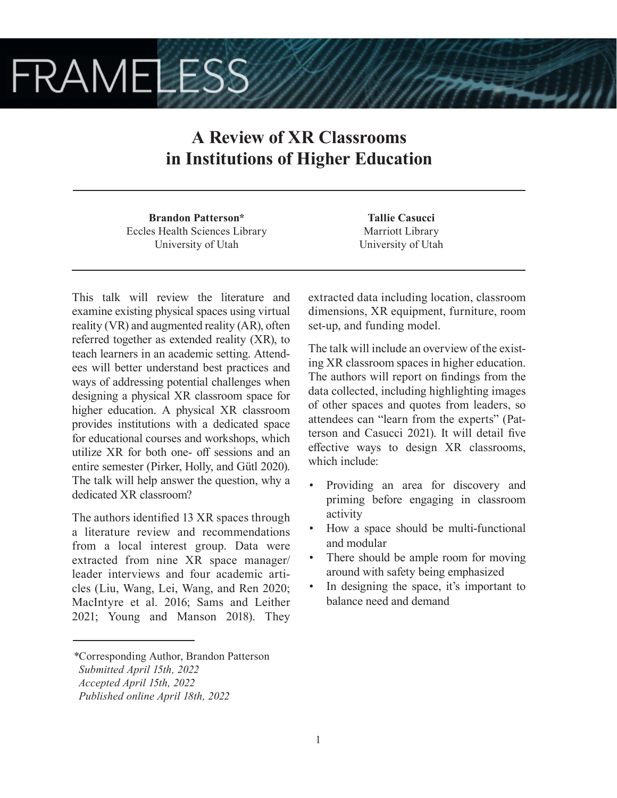# **FRAMELESS**

## **A Review of XR Classrooms in Institutions of Higher Education**

**Brandon Patterson\*** Eccles Health Sciences Library University of Utah

This talk will review the literature and examine existing physical spaces using virtual reality (VR) and augmented reality (AR), often referred together as extended reality (XR), to teach learners in an academic setting. Attendees will better understand best practices and ways of addressing potential challenges when designing a physical XR classroom space for higher education. A physical XR classroom provides institutions with a dedicated space for educational courses and workshops, which utilize XR for both one- off sessions and an entire semester (Pirker, Holly, and Gütl 2020). The talk will help answer the question, why a dedicated XR classroom?

The authors identified 13 XR spaces through a literature review and recommendations from a local interest group. Data were extracted from nine XR space manager/ leader interviews and four academic articles (Liu, Wang, Lei, Wang, and Ren 2020; MacIntyre et al. 2016; Sams and Leither 2021; Young and Manson 2018). They

*\**Corresponding Author, Brandon Patterson  *Submitted April 15th, 2022*

**Tallie Casucci** Marriott Library University of Utah

extracted data including location, classroom dimensions, XR equipment, furniture, room set-up, and funding model.

The talk will include an overview of the existing XR classroom spaces in higher education. The authors will report on findings from the data collected, including highlighting images of other spaces and quotes from leaders, so attendees can "learn from the experts" (Patterson and Casucci 2021). It will detail five effective ways to design XR classrooms, which include:

- Providing an area for discovery and priming before engaging in classroom activity
- How a space should be multi-functional and modular
- There should be ample room for moving around with safety being emphasized
- In designing the space, it's important to balance need and demand

*Accepted April 15th, 2022*

*Published online April 18th, 2022*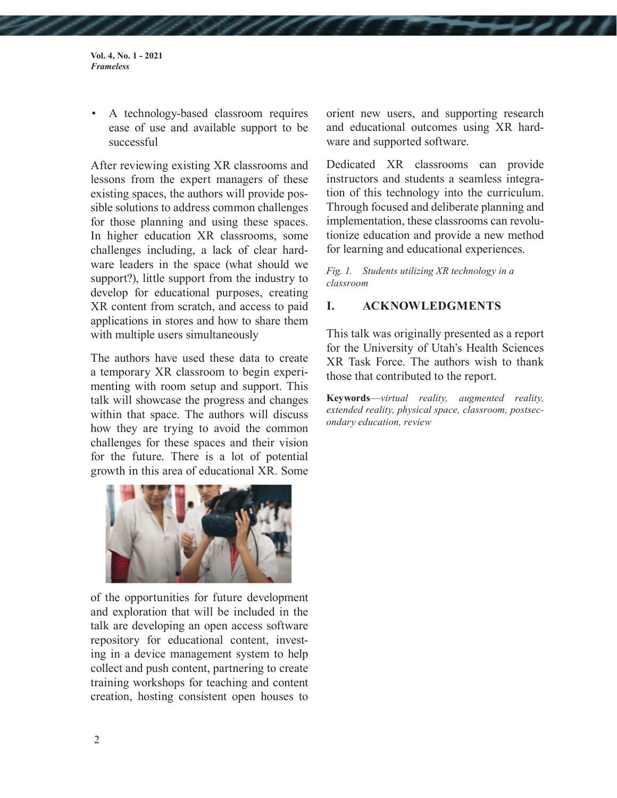• A technology-based classroom requires ease of use and available support to be successful

After reviewing existing XR classrooms and lessons from the expert managers of these existing spaces, the authors will provide possible solutions to address common challenges for those planning and using these spaces. In higher education XR classrooms, some challenges including, a lack of clear hardware leaders in the space (what should we support?), little support from the industry to develop for educational purposes, creating XR content from scratch, and access to paid applications in stores and how to share them with multiple users simultaneously

The authors have used these data to create a temporary XR classroom to begin experimenting with room setup and support. This talk will showcase the progress and changes within that space. The authors will discuss how they are trying to avoid the common challenges for these spaces and their vision for the future. There is a lot of potential growth in this area of educational XR. Some



of the opportunities for future development and exploration that will be included in the talk are developing an open access software repository for educational content, investing in a device management system to help collect and push content, partnering to create training workshops for teaching and content creation, hosting consistent open houses to

orient new users, and supporting research and educational outcomes using XR hardware and supported software.

Dedicated XR classrooms can provide instructors and students a seamless integration of this technology into the curriculum. Through focused and deliberate planning and implementation, these classrooms can revolutionize education and provide a new method for learning and educational experiences.

*Fig. 1. Students utilizing XR technology in a classroom*

### **I. ACKNOWLEDGMENTS**

This talk was originally presented as a report for the University of Utah's Health Sciences XR Task Force. The authors wish to thank those that contributed to the report.

**Keywords**—*virtual reality, augmented reality, extended reality, physical space, classroom, postsecondary education, review*